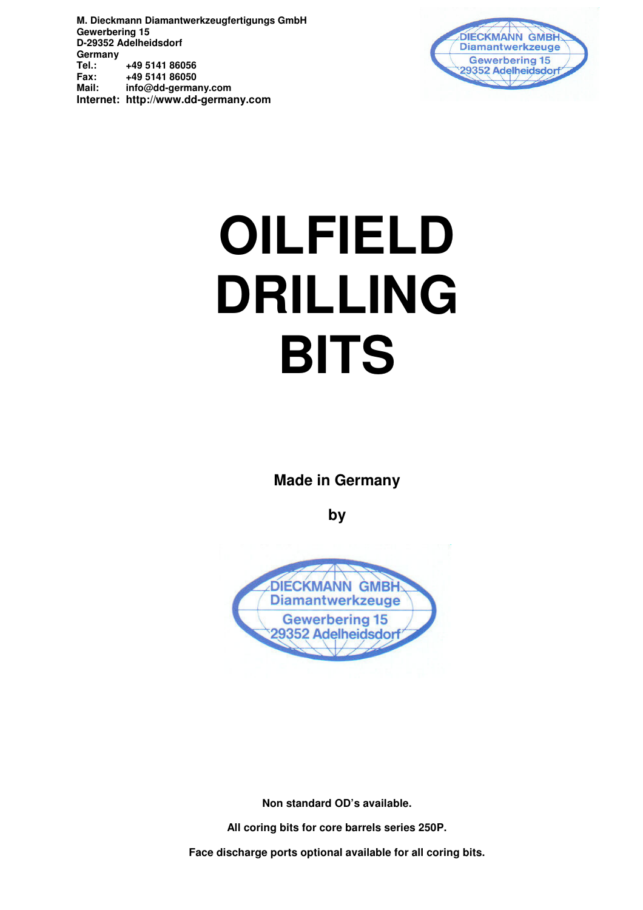

# **OILFIELD DRILLING BITS**

**Made in Germany** 

**by** 



**Non standard OD's available.** 

**All coring bits for core barrels series 250P.** 

**Face discharge ports optional available for all coring bits.**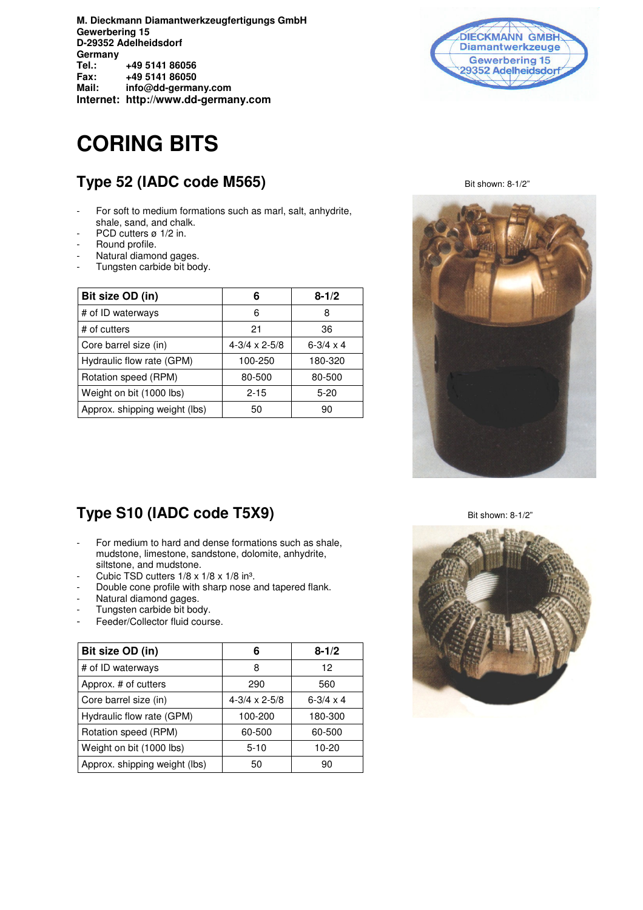# **CORING BITS**

## **Type 52 (IADC code M565)** Bit shown: 8-1/2"

- For soft to medium formations such as marl, salt, anhydrite, shale, sand, and chalk.
- PCD cutters ø 1/2 in.
- Round profile.
- Natural diamond gages.
- Tungsten carbide bit body.

| Bit size OD (in)              | 6                        | $8 - 1/2$          |
|-------------------------------|--------------------------|--------------------|
| # of ID waterways             | 6                        | 8                  |
| # of cutters                  | 21                       | 36                 |
| Core barrel size (in)         | $4 - 3/4 \times 2 - 5/8$ | $6 - 3/4 \times 4$ |
| Hydraulic flow rate (GPM)     | 100-250                  | 180-320            |
| Rotation speed (RPM)          | 80-500                   | 80-500             |
| Weight on bit (1000 lbs)      | $2 - 15$                 | $5 - 20$           |
| Approx. shipping weight (lbs) | 50                       | 90                 |





#### **Type S10 (IADC code T5X9)** Bit shown: 8-1/2"

- For medium to hard and dense formations such as shale, mudstone, limestone, sandstone, dolomite, anhydrite, siltstone, and mudstone.
- Cubic TSD cutters  $1/8 \times 1/8 \times 1/8$  in<sup>3</sup>.
- Double cone profile with sharp nose and tapered flank.
- Natural diamond gages.
- Tungsten carbide bit body.
- Feeder/Collector fluid course.

| Bit size OD (in)              | 6                        | $8 - 1/2$          |
|-------------------------------|--------------------------|--------------------|
| # of ID waterways             | 8                        | 12                 |
| Approx. # of cutters          | 290                      | 560                |
| Core barrel size (in)         | $4 - 3/4 \times 2 - 5/8$ | $6 - 3/4 \times 4$ |
| Hydraulic flow rate (GPM)     | 100-200                  | 180-300            |
| Rotation speed (RPM)          | 60-500                   | 60-500             |
| Weight on bit (1000 lbs)      | $5 - 10$                 | 10-20              |
| Approx. shipping weight (lbs) | 50                       | 90                 |

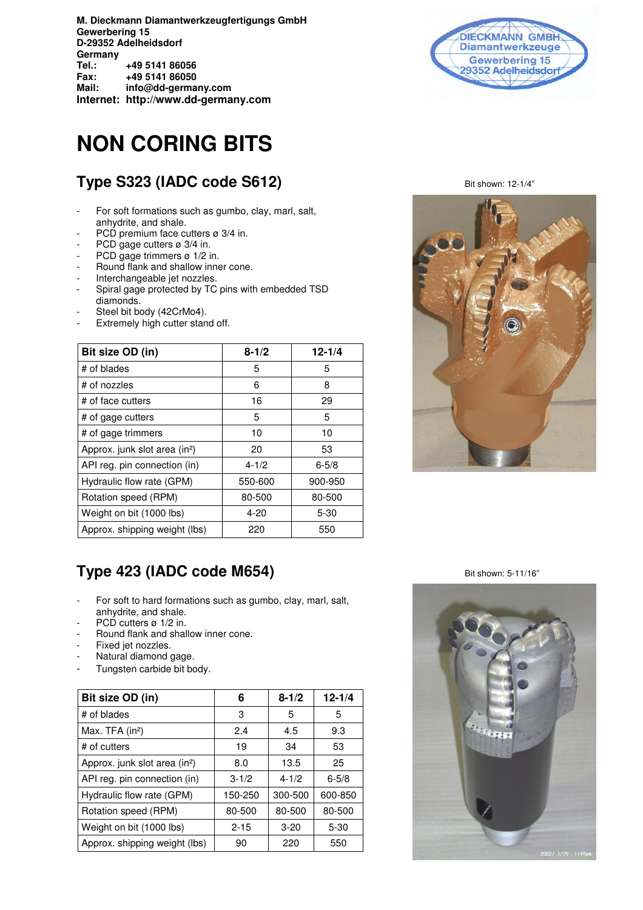## **NON CORING BITS**

## **Type S323 (IADC code S612)** Bit shown: 12-1/4"

- For soft formations such as gumbo, clay, marl, salt, anhydrite, and shale.
- PCD premium face cutters ø 3/4 in.
- PCD gage cutters ø 3/4 in.
- PCD gage trimmers ø 1/2 in.
- Round flank and shallow inner cone.
- Interchangeable jet nozzles.
- Spiral gage protected by TC pins with embedded TSD diamonds.
- Steel bit body (42CrMo4).
- Extremely high cutter stand off.

| Bit size OD (in)                          | $8 - 1/2$ | $12 - 1/4$ |
|-------------------------------------------|-----------|------------|
| # of blades                               | 5         | 5          |
| # of nozzles                              | 6         | 8          |
| # of face cutters                         | 16        | 29         |
| # of gage cutters                         | 5         | 5          |
| # of gage trimmers                        | 10        | 10         |
| Approx. junk slot area (in <sup>2</sup> ) | 20        | 53         |
| API reg. pin connection (in)              | $4 - 1/2$ | $6 - 5/8$  |
| Hydraulic flow rate (GPM)                 | 550-600   | 900-950    |
| Rotation speed (RPM)                      | 80-500    | 80-500     |
| Weight on bit (1000 lbs)                  | $4 - 20$  | $5 - 30$   |
| Approx. shipping weight (lbs)             | 220       | 550        |





## **Type 423 (IADC code M654)** Bit shown: 5-11/16"

- For soft to hard formations such as gumbo, clay, marl, salt, anhydrite, and shale.
- PCD cutters ø 1/2 in.
- Round flank and shallow inner cone.
- Fixed jet nozzles.
- Natural diamond gage.
- Tungsten carbide bit body.

| Bit size OD (in)                          | 6         | $8 - 1/2$ | $12 - 1/4$ |
|-------------------------------------------|-----------|-----------|------------|
| # of blades                               | 3         | 5         | 5          |
| Max. TFA $(in2)$                          | 2.4       | 4.5       | 9.3        |
| # of cutters                              | 19        | 34        | 53         |
| Approx. junk slot area (in <sup>2</sup> ) | 8.0       | 13.5      | 25         |
| API reg. pin connection (in)              | $3 - 1/2$ | $4 - 1/2$ | $6 - 5/8$  |
| Hydraulic flow rate (GPM)                 | 150-250   | 300-500   | 600-850    |
| Rotation speed (RPM)                      | 80-500    | 80-500    | 80-500     |
| Weight on bit (1000 lbs)                  | $2 - 15$  | $3 - 20$  | $5 - 30$   |
| Approx. shipping weight (lbs)             | 90        | 220       | 550        |